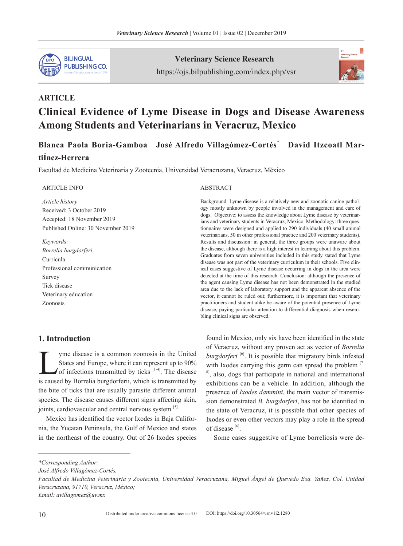

Veterinary Science Research https://ojs.bilpublishing.com/index.php/vsr



# **ARTICLE Clinical Evidence of Lyme Disease in Dogs and Disease Awareness Among Students and Veterinarians in Veracruz, Mexico**

**Blanca Paola Boria-Gamboa José Alfredo Villagómez-Cortés**\* **David Itzcoatl Mar-**

# **tiÍnez-Herrera**

Facultad de Medicina Veterinaria y Zootecnia, Universidad Veracruzana, Veracruz, México

| <b>ARTICLE INFO</b>                                                                                                                               | <b>ABSTRACT</b>                                                                                                                                                                                                                                                                                                                                                                                                                                                                                                                                                                                                                                                                                                                                                                                                                                                                                                                |
|---------------------------------------------------------------------------------------------------------------------------------------------------|--------------------------------------------------------------------------------------------------------------------------------------------------------------------------------------------------------------------------------------------------------------------------------------------------------------------------------------------------------------------------------------------------------------------------------------------------------------------------------------------------------------------------------------------------------------------------------------------------------------------------------------------------------------------------------------------------------------------------------------------------------------------------------------------------------------------------------------------------------------------------------------------------------------------------------|
| <i>Article history</i><br>Received: 3 October 2019<br>Accepted: 18 November 2019<br>Published Online: 30 November 2019                            | Background: Lyme disease is a relatively new and zoonotic canine pathol-<br>ogy mostly unknown by people involved in the management and care of<br>dogs. Objective: to assess the knowledge about Lyme disease by veterinar-<br>ians and veterinary students in Veracruz, Mexico. Methodology: three ques-<br>tionnaires were designed and applied to 290 individuals (40 small animal<br>veterinarians, 50 in other professional practice and 200 veterinary students).                                                                                                                                                                                                                                                                                                                                                                                                                                                       |
| Keywords:<br>Borrelia burgdorferi<br>Curricula<br>Professional communication<br>Survey<br>Tick disease<br>Veterinary education<br><b>Zoonosis</b> | Results and discussion: in general, the three groups were unaware about<br>the disease, although there is a high interest in learning about this problem.<br>Graduates from seven universities included in this study stated that Lyme<br>disease was not part of the veterinary curriculum in their schools. Five clin-<br>ical cases suggestive of Lyme disease occurring in dogs in the area were<br>detected at the time of this research. Conclusion: although the presence of<br>the agent causing Lyme disease has not been demonstrated in the studied<br>area due to the lack of laboratory support and the apparent absence of the<br>vector, it cannot be ruled out; furthermore, it is important that veterinary<br>practitioners and student alike be aware of the potential presence of Lyme<br>disease, paying particular attention to differential diagnosis when resem-<br>bling clinical signs are observed. |

# **1. Introduction**

The symple disease is a common zoonosis in the United<br>States and Europe, where it can represent up to 90%<br>of infections transmitted by ticks  $[1-4]$ . The disease<br>is caused by Borrelia burgdorferii, which is transmitted by States and Europe, where it can represent up to 90% of infections transmitted by ticks  $[1-4]$ . The disease is caused by Borrelia burgdorferii, which is transmitted by the bite of ticks that are usually parasite different animal species. The disease causes different signs affecting skin, joints, cardiovascular and central nervous system [5].

Mexico has identified the vector Ixodes in Baja California, the Yucatan Peninsula, the Gulf of Mexico and states in the northeast of the country. Out of 26 Ixodes species

found in Mexico, only six have been identified in the state of Veracruz, without any proven act as vector of *Borrelia burgdorferi* [6]. It is possible that migratory birds infested with Ixodes carrying this germ can spread the problem [7-1]  $8<sup>8</sup>$ , also, dogs that participate in national and international exhibitions can be a vehicle. In addition, although the presence of *Ixodes dammini*, the main vector of transmission demonstrated *B. burgdorferi*, has not be identified in the state of Veracruz, it is possible that other species of Ixodes or even other vectors may play a role in the spread of disease [6].

Some cases suggestive of Lyme borreliosis were de-

*<sup>\*</sup>Corresponding Author:*

*José Alfredo Villagómez-Cortés,*

*Facultad de Medicina Veterinaria y Zootecnia, Universidad Veracruzana, Miguel Ángel de Quevedo Esq. Yañez, Col. Unidad Veracruzana, 91710, Veracruz, México; Email: avillagomez@uv.mx*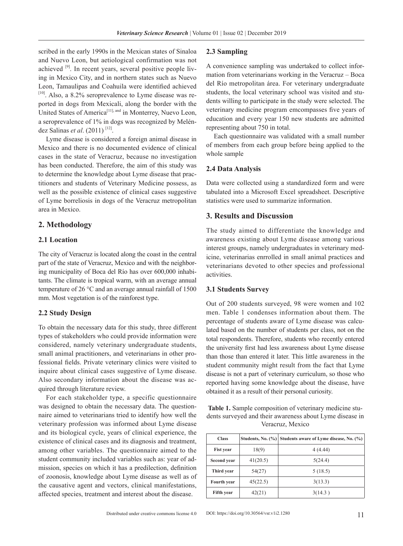scribed in the early 1990s in the Mexican states of Sinaloa and Nuevo Leon, but aetiological confirmation was not achieved  $[9]$ . In recent years, several positive people living in Mexico City, and in northern states such as Nuevo Leon, Tamaulipas and Coahuila were identified achieved  $[10]$ . Also, a 8.2% seroprevalence to Lyme disease was reported in dogs from Mexicali, along the border with the United States of America<sup>[11], and</sup> in Monterrey, Nuevo Leon, a seroprevalence of 1% in dogs was recognized by Meléndez Salinas *et al*. (2011) [12].

Lyme disease is considered a foreign animal disease in Mexico and there is no documented evidence of clinical cases in the state of Veracruz, because no investigation has been conducted. Therefore, the aim of this study was to determine the knowledge about Lyme disease that practitioners and students of Veterinary Medicine possess, as well as the possible existence of clinical cases suggestive of Lyme borreliosis in dogs of the Veracruz metropolitan area in Mexico.

## **2. Methodology**

#### **2.1 Location**

The city of Veracruz is located along the coast in the central part of the state of Veracruz, Mexico and with the neighboring municipality of Boca del Río has over 600,000 inhabitants. The climate is tropical warm, with an average annual temperature of 26 °C and an average annual rainfall of 1500 mm. Most vegetation is of the rainforest type.

#### **2.2 Study Design**

To obtain the necessary data for this study, three different types of stakeholders who could provide information were considered, namely veterinary undergraduate students, small animal practitioners, and veterinarians in other professional fields. Private veterinary clinics were visited to inquire about clinical cases suggestive of Lyme disease. Also secondary information about the disease was acquired through literature review.

For each stakeholder type, a specific questionnaire was designed to obtain the necessary data. The questionnaire aimed to veterinarians tried to identify how well the veterinary profession was informed about Lyme disease and its biological cycle, years of clinical experience, the existence of clinical cases and its diagnosis and treatment, among other variables. The questionnaire aimed to the student community included variables such as: year of admission, species on which it has a predilection, definition of zoonosis, knowledge about Lyme disease as well as of the causative agent and vectors, clinical manifestations, affected species, treatment and interest about the disease.

#### **2.3 Sampling**

A convenience sampling was undertaked to collect information from veterinarians working in the Veracruz – Boca del Río metropolitan área. For veterinary undergraduate students, the local veterinary school was visited and students willing to participate in the study were selected. The veterinary medicine program emcompasses five years of education and every year 150 new students are admitted representing about 750 in total.

Each questionnaire was validated with a small number of members from each group before being applied to the whole sample

#### **2.4 Data Analysis**

Data were collected using a standardized form and were tabulated into a Microsoft Excel spreadsheet. Descriptive statistics were used to summarize information.

## **3. Results and Discussion**

The study aimed to differentiate the knowledge and awareness existing about Lyme disease among various interest groups, namely undergraduates in veterinary medicine, veterinarias enrrolled in small animal practices and veterinarians devoted to other species and professional activities.

#### **3.1 Students Survey**

Out of 200 students surveyed, 98 were women and 102 men. Table 1 condenses information about them. The percentage of students aware of Lyme disease was calculated based on the number of students per class, not on the total respondents. Therefore, students who recently entered the university first had less awareness about Lyme disease than those than entered it later. This little awareness in the student community might result from the fact that Lyme disease is not a part of veterinary curriculum, so those who reported having some knowledge about the disease, have obtained it as a result of their personal curiosity.

**Table 1.** Sample composition of veterinary medicine students surveyed and their awareness about Lyme disease in Veracruz, Mexico

| <b>Class</b>                   |          | Students, No. (%) Students aware of Lyme disease, No. (%) |  |  |
|--------------------------------|----------|-----------------------------------------------------------|--|--|
| <b>Fist year</b>               | 18(9)    | 4(4.44)                                                   |  |  |
| <b>Second year</b>             | 41(20.5) | 5(24.4)                                                   |  |  |
| 54(27)<br>Third year           |          | 5(18.5)                                                   |  |  |
| 45(22.5)<br><b>Fourth year</b> |          | 3(13.3)                                                   |  |  |
| <b>Fifth year</b>              | 42(21)   | 3(14.3)                                                   |  |  |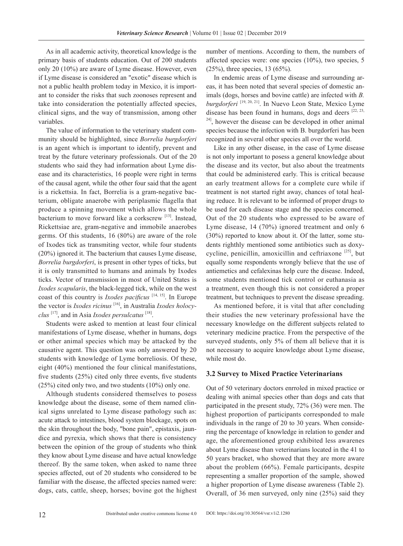As in all academic activity, theoretical knowledge is the primary basis of students education. Out of 200 students only 20 (10%) are aware of Lyme disease. However, even if Lyme disease is considered an "exotic" disease which is not a public health problem today in Mexico, it is important to consider the risks that such zoonoses represent and take into consideration the potentially affected species, clinical signs, and the way of transmission, among other variables.

The value of information to the veterinary student community should be highlighted, since *Borrelia burgdorferi* is an agent which is important to identify, prevent and treat by the future veterinary professionals. Out of the 20 students who said they had information about Lyme disease and its characteristics, 16 people were right in terms of the causal agent, while the other four said that the agent is a rickettsia. In fact, Borrelia is a gram-negative bacterium, obligate anaerobe with periplasmic flagella that produce a spinning movement which allows the whole bacterium to move forward like a corkscrew [13]. Instead, Rickettsiae are, gram-negative and immobile anaerobes germs. Of this students, 16 (80%) are aware of the role of Ixodes tick as transmiting vector, while four students (20%) ignored it. The bacterium that causes Lyme disease, *Borrelia burgdorferi*, is present in other types of ticks, but it is only transmitted to humans and animals by Ixodes ticks. Vector of transmission in most of United States is *Ixodes scapularis*, the black-legged tick, while on the west coast of this country is *Ixodes pacificus* [14, 15]. In Europe the vector is *Ixodes ricinus* [16], in Australia *Ixodes holocyclus* [17], and in Asia *Ixodes persulcatus* [18].

Students were asked to mention at least four clinical manifestations of Lyme disease, whether in humans, dogs or other animal species which may be attacked by the causative agent. This question was only answered by 20 students with knowledge of Lyme borreliosis. Of these, eight (40%) mentioned the four clinical manifestations, five students (25%) cited only three events, five students (25%) cited only two, and two students (10%) only one.

Although students considered themselves to posess knowledge about the disease, some of them named clinical signs unrelated to Lyme disease pathology such as: acute attack to intestines, blood system blockage, spots on the skin throughout the body, "bone pain", epistaxis, jaundice and pyrexia, which shows that there is consistency between the opinion of the group of students who think they know about Lyme disease and have actual knowledge thereof. By the same token, when asked to name three species affected, out of 20 students who considered to be familiar with the disease, the affected species named were: dogs, cats, cattle, sheep, horses; bovine got the highest number of mentions. According to them, the numbers of affected species were: one species (10%), two species, 5 (25%), three species, 13 (65%).

In endemic areas of Lyme disease and surrounding areas, it has been noted that several species of domestic animals (dogs, horses and bovine cattle) are infected with *B. burgdorferi* [19, 20, 21]. In Nuevo Leon State, Mexico Lyme disease has been found in humans, dogs and deers  $[22, 23, 3]$ <sup>24]</sup>, however the disease can be developed in other animal species because the infection with B. burgdorferi has been recognized in several other species all over the world.

Like in any other disease, in the case of Lyme disease is not only important to posess a general knowledge about the disease and its vector, but also about the treatments that could be administered early. This is critical because an early treatment allows for a complete cure while if treatment is not started right away, chances of total healing reduce. It is relevant to be informed of proper drugs to be used for each disease stage and the species concerned. Out of the 20 students who expressed to be aware of Lyme disease, 14 (70%) ignored treatment and only 6 (30%) reported to know about it. Of the latter, some students righthly mentioned some antibiotics such as doxycycline, penicillin, amoxicillin and ceftriaxone  $[25]$ , but equally some respondents wrongly believe that the use of antiemetics and cefalexinas help cure the disease. Indeed, some students mentioned tick control or euthanasia as a treatment, even though this is not considered a proper treatment, but techniques to prevent the disease spreading.

As mentioned before, it is vital that after concluding their studies the new veterinary professional have the necessary knowledge on the different subjects related to veterinary medicine practice. From the perspective of the surveyed students, only 5% of them all believe that it is not necessary to acquire knowledge about Lyme disease, while most do.

#### **3.2 Survey to Mixed Practice Veterinarians**

Out of 50 veterinary doctors enrroled in mixed practice or dealing with animal species other than dogs and cats that participated in the present study, 72% (36) were men. The highest proportion of participants corresponded to male individuals in the range of 20 to 30 years. When considering the percentage of knowledge in relation to gender and age, the aforementioned group exhibited less awarenes about Lyme disease than veterinarians located in the 41 to 50 years bracket, who showed that they are more aware about the problem (66%). Female participants, despite representing a smaller proportion of the sample, showed a higher proportion of Lyme disease awareness (Table 2). Overall, of 36 men surveyed, only nine (25%) said they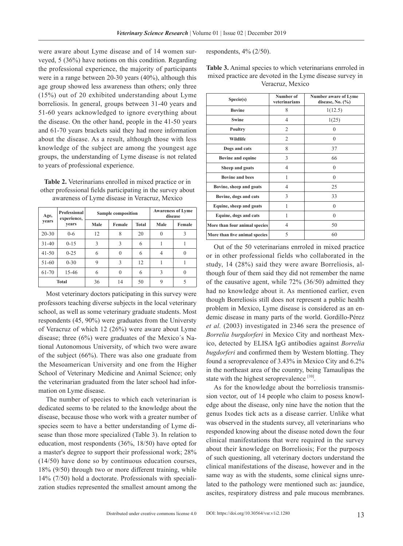were aware about Lyme disease and of 14 women surveyed, 5 (36%) have notions on this condition. Regarding the professional experience, the majority of participants were in a range between 20-30 years (40%), although this age group showed less awareness than others; only three (15%) out of 20 exhibited understanding about Lyme borreliosis. In general, groups between 31-40 years and 51-60 years acknowledged to ignore everything about the disease. On the other hand, people in the 41-50 years and 61-70 years brackets said they had more information about the disease. As a result, although those with less knowledge of the subject are among the youngest age groups, the understanding of Lyme disease is not related to years of professional experience.

**Table 2.** Veterinarians enrolled in mixed practice or in other professional fields participating in the survey about awareness of Lyme disease in Veracruz, Mexico

| <b>Professional</b><br>Age,<br>experience, |              | <b>Sample composition</b> |               |       | <b>Awareness of Lyme</b><br>disease |        |
|--------------------------------------------|--------------|---------------------------|---------------|-------|-------------------------------------|--------|
| vears                                      | vears        | Male                      | Female        | Total | Male                                | Female |
| $20 - 30$                                  | $0 - 6$      | 12                        | 8             | 20    | 0                                   | ٦      |
| $31 - 40$                                  | $0-15$       | 3                         | 3             | 6     | 1                                   |        |
| $41 - 50$                                  | $0 - 25$     | 6                         | $\theta$      | 6     | 4                                   |        |
| 51-60                                      | $0 - 30$     | 9                         | $\mathcal{R}$ | 12    |                                     |        |
| 61-70                                      | 15-46        | 6                         | $\Omega$      | 6     | 3                                   |        |
|                                            | <b>Total</b> | 36                        | 14            | 50    | 9                                   |        |

Most veterinary doctors paticipating in this survey were professors teaching diverse subjects in the local veterinary school, as well as some veterinary graduate students. Most respondents (45, 90%) were graduates from the Universty of Veracruz of which 12 (26%) were aware about Lyme disease; three (6%) were graduates of the Mexico´s National Autonomous University, of which two were aware of the subject (66%). There was also one graduate from the Mesoamerican University and one from the Higher School of Veterinary Medicine and Animal Science; only the veterinarian graduated from the later school had information on Lyme disease.

The number of species to which each veterinarian is dedicated seems to be related to the knowledge about the disease, because those who work with a greater number of species seem to have a better understanding of Lyme disease than those more specialized (Table 3). In relation to education, most respondents (36%, 18/50) have opted for a master's degree to support their professional work; 28% (14/50) have done so by continuous education courses, 18% (9/50) through two or more different training, while 14% (7/50) hold a doctorate. Professionals with specialization studies represented the smallest amount among the respondents, 4% (2/50).

| <b>Table 3.</b> Animal species to which veterinarians enrroled in |
|-------------------------------------------------------------------|
| mixed practice are devoted in the Lyme disease survey in          |
| Veracruz, Mexico                                                  |

| Specie(s)                     | Number of<br>veterinarians | Number aware of Lyme<br>disease, No. $(\%$ ) |
|-------------------------------|----------------------------|----------------------------------------------|
| <b>Bovine</b>                 | 8                          | 1(12.5)                                      |
| <b>Swine</b>                  | 4                          | 1(25)                                        |
| Poultry                       | $\overline{c}$             | $\theta$                                     |
| Wildlife                      | 2                          | 0                                            |
| Dogs and cats                 | 8                          | 37                                           |
| <b>Bovine and equine</b>      | 3                          | 66                                           |
| Sheep and goats               | 4                          | $\theta$                                     |
| <b>Bovine and bees</b>        | 1                          | $\theta$                                     |
| Bovine, sheep and goats       | 4                          | 25                                           |
| Bovine, dogs and cats         | 3                          | 33                                           |
| Equine, sheep and goats       | 1                          | $\theta$                                     |
| Equine, dogs and cats         | 1                          | $\theta$                                     |
| More than four animal species | 4                          | 50                                           |
| More than five animal species | 5                          | 60                                           |

Out of the 50 veterinarians enrroled in mixed practice or in other professional fields who collaborated in the study, 14 (28%) said they were aware Borreliosis, although four of them said they did not remember the name of the causative agent, while 72% (36/50) admitted they had no knowledge about it. As mentioned earlier, even though Borreliosis still does not represent a public health problem in Mexico, Lyme disease is considered as an endemic disease in many parts of the world. Gordillo-Pérez *et al.* (2003) investigated in 2346 sera the presence of *Borrelia burgdorferi* in Mexico City and northeast Mexico, detected by ELISA IgG antibodies against *Borrelia bugdorferi* and confirmed them by Western blotting. They found a seroprevalence of 3.43% in Mexico City and 6.2% in the northeast area of the country, being Tamaulipas the state with the highest seroprevalence [10].

As for the knowledge about the borreliosis transmission vector, out of 14 people who claim to posess knowledge about the disease, only nine have the notion that the genus Ixodes tick acts as a disease carrier. Unlike what was observed in the students survey, all veterinarians who responded knowing about the disease noted down the four clinical manifestations that were required in the survey about their knowledge on Borreliosis; For the purposes of such questioning, all veterinary doctors understand the clinical manifestations of the disease, however and in the same way as with the students, some clinical signs unrelated to the pathology were mentioned such as: jaundice, ascites, respiratory distress and pale mucous membranes.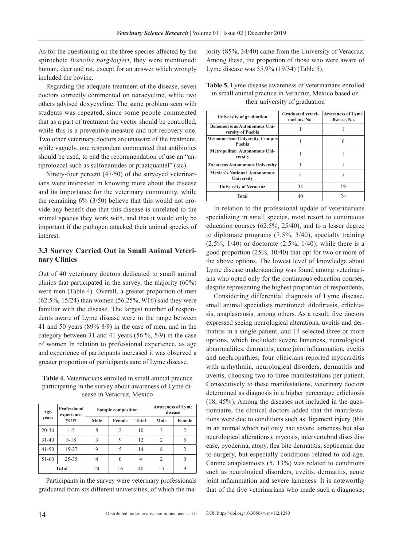As for the questioning on the three species affected by the spirochete *Borrelia burgdorferi*, they were mentioned: human, deer and rat, except for an answer which wrongly included the bovine.

Regarding the adequate treatment of the disease, seven doctors correctly commented on tetracycline, while two others advised doxycycline. The same problem seen with students was repeated, since some people commented that as a part of treatment the vector should be controlled, while this is a preventive measure and not recovery one. Two other veterinary doctors are unaware of the treatment, while vaguely, one respondent commented that antibiotics should be used, to end the recommendation of use an "antiprotozoal such as sulfonamides or praziquantel" (sic).

Ninety-four percent (47/50) of the surveyed veterinarians were interested in knowing more about the disease and its importance for the veterinary community, while the remaining 6% (3/50) believe that this would not provide any benefit due that this disease is unrelated to the animal species they work with, and that it would only be important if the pathogen attacked their animal species of interest.

# **3.3 Survey Carried Out in Small Animal Veterinary Clinics**

Out of 40 veterinary doctors dedicated to small animal clinics that participated in the survey, the majority (60%) were men (Table 4). Overall, a greater proportion of men (62.5%, 15/24) than women (56.25%, 9/16) said they were familiar with the disease. The largest number of respondents aware of Lyme disease were in the range between 41 and 50 years (89% 8/9) in the case of men, and in the category between 31 and 41 years (56 %, 5/9) in the case of women In relation to professional experience, as age and experience of participants increased it was observed a greater proportion of participants aare of Lyme disease.

**Table 4.** Veterinarians enrolled in small animal practice participating in the survey about awareness of Lyme disease in Veracruz, Mexico

| <b>Professional</b><br>Age,<br>experience, |              | Sample composition |        |              | <b>Awareness of Lyme</b><br>disease |        |
|--------------------------------------------|--------------|--------------------|--------|--------------|-------------------------------------|--------|
| years                                      | vears        | Male               | Female | <b>Total</b> | Male                                | Female |
| $20 - 30$                                  | $1 - 5$      | 8                  | 2      | 10           | 3                                   | 2      |
| $31 - 40$                                  | $3 - 18$     | 3                  | 9      | 12           | $\overline{c}$                      |        |
| $41 - 50$                                  | $15 - 27$    | 9                  | 5      | 14           | 8                                   | 2      |
| 51-60                                      | $25 - 35$    | 4                  | 0      | 4            | 2                                   |        |
|                                            | <b>Total</b> | 24                 | 16     | 40           | 15                                  | 9      |

Participants in the survey were veterinary professionals graduated from six different universities, of which the majority (85%, 34/40) came from the University of Veracruz. Among these, the proportion of those who were aware of Lyme disease was 55.9% (19/34) (Table 5).

| <b>Table 5.</b> Lyme disease awareness of veterinarians enrolled |
|------------------------------------------------------------------|
| in small animal practice in Veracruz, Mexico based on            |
| their university of graduation                                   |

| University of graduation                                 | <b>Graduated veteri-</b><br>narians, No. | <b>Awareness of Lyme</b><br>disease, No. |
|----------------------------------------------------------|------------------------------------------|------------------------------------------|
| <b>Benemeritous Autonomous Uni-</b><br>versity of Puebla |                                          |                                          |
| <b>Mesoamerican University, Campus</b><br>Puebla         |                                          |                                          |
| Metropolitan Autonomous Uni-<br>versity                  |                                          |                                          |
| <b>Zacatecas Autonomous University</b>                   |                                          |                                          |
| <b>Mexico's National Autonomous</b><br>University        | C                                        |                                          |
| <b>University of Veracruz</b>                            | 34                                       | 19                                       |
| <b>Total</b>                                             |                                          | 24                                       |

In relation to the professional update of veterinarians specializing in small species, most resort to continuous education courses (62.5%, 25/40), and to a lesser degree to diplomate programs (7.5%, 3/40), specialty training  $(2.5\%, 1/40)$  or doctorate  $(2.5\%, 1/40)$ ; while there is a good proportion (25%, 10/40) that opt for two or more of the above options. The lowest level of knowledge about Lyme disease understanding was found among veterinarians who opted only for the continuous education courses, despite representing the highest proportion of respondents.

Considering differential diagnosis of Lyme disease, small animal specialists mentioned: dilofiriasis, erlichiasis, anaplasmosis, among others. As a result, five doctors expressed seeing neurological alterations, uveitis and dermatitis in a single patient, and 14 selected three or more options, which included: severe lameness, neurological abnormalities, dermatitis, acute joint inflammation, uveitis and nephropathies; four clinicians reported myocarditis with arrhythmia, neurological disorders, dermatitis and uveitis, choosing two to three manifestations per patient. Consecutively to these manifestations, veterinary doctors determined as diagnosis in a higher percentage erlichiosis (18, 45%). Among the diseases not included in the questionnaire, the clinical doctors added that the manifestations were due to conditions such as: ligament injury (this in an animal which not only had severe lameness but also neurological alterations), mycosis, intervertebral discs disease, pyoderma, atopy, flea bite dermatitis, septicemia due to surgery, but especially conditions related to old-age. Canine anaplasmosis (5, 13%) was related to conditions such as neurological disorders, uveitis, dermatitis, acute joint inflammation and severe lameness. It is noteworthy that of the five veterinarians who made such a diagnosis,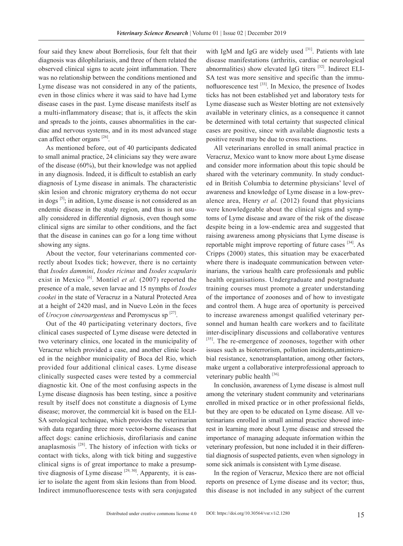four said they knew about Borreliosis, four felt that their diagnosis was dilophilariasis, and three of them related the observed clinical signs to acute joint inflammation. There was no relationship between the conditions mentioned and Lyme disease was not considered in any of the patients, even in those clinics where it was said to have had Lyme disease cases in the past. Lyme disease manifests itself as a multi-inflammatory disease; that is, it affects the skin and spreads to the joints, causes abnormalities in the cardiac and nervous systems, and in its most advanced stage can affect other organs [26].

As mentioned before, out of 40 participants dedicated to small animal practice, 24 clinicians say they were aware of the disease (60%), but their knowledge was not applied in any diagnosis. Indeed, it is difficult to establish an early diagnosis of Lyme disease in animals. The characteristic skin lesion and chronic migratory erythema do not occur in dogs  $[5]$ ; in adition, Lyme disease is not considered as an endemic disease in the study region, and thus is not usually considered in differential dignosis, even though some clinical signs are similar to other conditions, and the fact that the disease in canines can go for a long time without showing any signs.

About the vector, four veterinarians commented correctly about Ixodes tick; however, there is no certainty that *Ixodes dammini*, *Ixodes ricinus* and *Ixodes scapularis*  exist in Mexico<sup>[6]</sup>. Montiel *et al.* (2007) reported the presence of a male, seven larvae and 15 nymphs of *Ixodes cookei* in the state of Veracruz in a Natural Protected Area at a height of 2420 masl, and in Nuevo León in the feces of *Urocyon cineroargenteus* and Peromyscus sp [27].

Out of the 40 participating veterinary doctors, five clinical cases suspected of Lyme disease were detected in two veterinary clinics, one located in the municipality of Veracruz which provided a case, and another clinic located in the neighbor municipality of Boca del Rio, which provided four additional clinical cases. Lyme disease clinically suspected cases were tested by a commercial diagnostic kit. One of the most confusing aspects in the Lyme disease diagnosis has been testing, since a positive result by itself does not constitute a diagnosis of Lyme disease; morover, the commercial kit is based on the ELI-SA serological technique, which provides the veterinarian with data regarding three more vector-borne diseases that affect dogs: canine erlichiosis, dirofilariasis and canine anaplasmosis  $[28]$ . The history of infection with ticks or contact with ticks, along with tick biting and suggestive clinical signs is of great importance to make a presumptive diagnosis of Lyme disease  $[29, 30]$ . Apparenty, it is easier to isolate the agent from skin lesions than from blood. Indirect immunofluorescence tests with sera conjugated

with IgM and IgG are widely used  $[31]$ . Patients with late disease manifestations (arthritis, cardiac or neurological abnormalities) show elevated IgG titers  $[32]$ . Indirect ELI-SA test was more sensitive and specific than the immunofluorescence test [33]. In Mexico, the presence of Ixodes ticks has not been established yet and laboratory tests for Lyme diasease such as Wester blotting are not extensively available in veterinary clinics, as a consequence it cannot be determined with total certainty that suspected clinical cases are positive, since with available diagnostic tests a positive result may be due to cross reactions.

All veterinarians enrolled in small animal practice in Veracruz, Mexico want to know more about Lyme disease and consider more information about this topic should be shared with the veterinary community. In study conducted in British Columbia to determine physicians' level of awareness and knowledge of Lyme disease in a low-prevalence area, Henry *et al.* (2012) found that physicians were knowledgeable about the clinical signs and symptoms of Lyme disease and aware of the risk of the disease despite being in a low-endemic area and suggested that raising awareness among physicians that Lyme disease is reportable might improve reporting of future cases [34]. As Cripps (2000) states, this situation may be exacerbated where there is inadequate communication between veterinarians, the various health care professionals and public health organisations. Undergraduate and postgraduate training courses must promote a greater understanding of the importance of zoonoses and of how to investigate and control them. A huge area of oportunity is perceived to increase awareness amongst qualified veterinary personnel and human health care workers and to facilitate inter-disciplinary discussions and collaborative ventures [35]. The re-emergence of zoonoses, together with other issues such as bioterrorism, pollution incidents,antimicrobial resistance, xenotransplantation, among other factors, make urgent a collaborative interprofessional approach to veterinary public health [36].

In conclusión, awareness of Lyme disease is almost null among the veterinary student community and veterinarians enrolled in mixed practice or in other professional fields, but they are open to be educated on Lyme disease. All veterinarians enrolled in small animal practice showed interest in learning more about Lyme disease and stressed the importance of managing adequate information within the veterinary profession, but none included it in their differential diagnosis of suspected patients, even when signology in some sick animals is consistent with Lyme disease.

In the region of Veracruz, Mexico there are not official reports on presence of Lyme disease and its vector; thus, this disease is not included in any subject of the current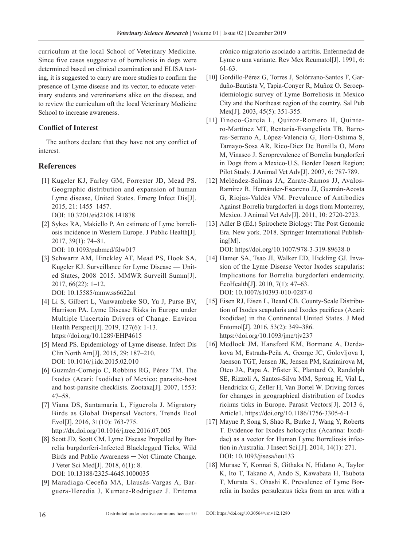curriculum at the local School of Veterinary Medicine. Since five cases suggestive of borreliosis in dogs were determined based on clinical examination and ELISA testing, it is suggested to carry are more studies to confirm the presence of Lyme disease and its vector, to educate veterinary students and vererinarians alike on the disease, and to review the curriculum oft the local Veterinary Medicine School to increase awareness.

#### **Conflict of Interest**

The authors declare that they have not any conflict of interest.

## **References**

- [1] Kugeler KJ, Farley GM, Forrester JD, Mead PS. Geographic distribution and expansion of human Lyme disease, United States. Emerg Infect Dis[J]. 2015, 21: 1455–1457. DOI: 10.3201/eid2108.141878
- [2] Sykes RA, Makiello P. An estimate of Lyme borreliosis incidence in Western Europe. J Public Health[J]. 2017, 39(1): 74–81. DOI: 10.1093/pubmed/fdw017
- [3] Schwartz AM, Hinckley AF, Mead PS, Hook SA, Kugeler KJ. Surveillance for Lyme Disease — United States, 2008–2015. MMWR Surveill Summ[J]. 2017, 66(22): 1–12.

DOI: 10.15585/mmw.ss6622a1

- [4] Li S, Gilbert L, Vanwambeke SO, Yu J, Purse BV, Harrison PA. Lyme Disease Risks in Europe under Multiple Uncertain Drivers of Change. Environ Health Perspect[J]. 2019, 127(6): 1-13. https://doi.org/10.1289/EHP4615
- [5] Mead PS. Epidemiology of Lyme disease. Infect Dis Clin North Am[J]. 2015, 29: 187–210. DOI: 10.1016/j.idc.2015.02.010
- [6] Guzmán-Cornejo C, Robbins RG, Pérez TM. The Ixodes (Acari: Ixodidae) of Mexico: parasite-host and host-parasite checklists. Zootaxa[J]. 2007, 1553: 47–58.
- [7] Viana DS, Santamaría L, Figuerola J. Migratory Birds as Global Dispersal Vectors. Trends Ecol Evol[J]. 2016, 31(10): 763-775. http://dx.doi.org/10.1016/j.tree.2016.07.005
- [8] Scott JD, Scott CM. Lyme Disease Propelled by Borrelia burgdorferi-Infected Blacklegged Ticks, Wild Birds and Public Awareness ─ Not Climate Change. J Veter Sci Med[J]. 2018, 6(1): 8. DOI: 10.13188/2325-4645.1000035
- [9] Maradiaga-Ceceña MA, Llausás-Vargas A, Barguera-Heredia J, Kumate-Rodriguez J. Eritema

crónico migratorio asociado a artritis. Enfermedad de Lyme o una variante. Rev Mex Reumatol[J]. 1991, 6: 61-63.

- [10] Gordillo-Pérez G, Torres J, Solórzano-Santos F, Garduño-Bautista V, Tapia-Conyer R, Muñoz O. Seroepidemiologic survey of Lyme Borreliosis in Mexico City and the Northeast region of the country. Sal Pub Mex[J]. 2003, 45(5): 351-355.
- [11] Tinoco-García L, Quiroz-Romero H, Quintero-Martínez MT, Rentaría-Evangelista TB, Barreras-Serrano A, López-Valencia G, Hori-Oshima S, Tamayo-Sosa AR, Rico-Diez De Bonilla O, Moro M, Vinasco J. Seroprevalence of Borrelia burgdorferi in Dogs from a Mexico-U.S. Border Desert Region: Pilot Study. J Animal Vet Adv[J]. 2007, 6: 787-789.
- [12] Meléndez-Salinas JA, Zarate-Ramos JJ, Avalos-Ramírez R, Hernández-Escareno JJ, Guzmán-Acosta G, Riojas-Valdés VM. Prevalence of Antibodies Against Borrelia burgdorferi in dogs from Monterrey, Mexico. J Animal Vet Adv[J]. 2011, 10: 2720-2723.
- [13] Adler B (Ed.) Spirochete Biology: The Post Genomic Era. New york. 2018. Springer International Publishing[M].

DOI: https//doi.org/10.1007/978-3-319-89638-0

- [14] Hamer SA, Tsao JI, Walker ED, Hickling GJ. Invasion of the Lyme Disease Vector Ixodes scapularis: Implications for Borrelia burgdorferi endemicity. EcoHealth[J]. 2010, 7(1): 47–63. DOI: 10.1007/s10393-010-0287-0
- [15] Eisen RJ, Eisen L, Beard CB. County-Scale Distribution of Ixodes scapularis and Ixodes pacificus (Acari: Ixodidae) in the Continental United States. J Med Entomol[J]. 2016, 53(2): 349–386. https://doi.org/10.1093/jme/tjv237
- [16] Medlock JM, Hansford KM, Bormane A, Derdakova M, Estrada-Peña A, George JC, Golovljova I, Jaenson TGT, Jensen JK, Jensen PM, Kazimirova M, Oteo JA, Papa A, Pfister K, Plantard O, Randolph SE, Rizzoli A, Santos-Silva MM, Sprong H, Vial L, Hendrickx G, Zeller H, Van Bortel W. Driving forces for changes in geographical distribution of Ixodes ricinus ticks in Europe. Parasit Vectors[J]. 2013 6, Article1. https://doi.org/10.1186/1756-3305-6-1
- [17] Mayne P, Song S, Shao R, Burke J, Wang Y, Roberts T. Evidence for Ixodes holocyclus (Acarina: Ixodidae) as a vector for Human Lyme Borreliosis infection in Australia. J Insect Sci.[J]. 2014, 14(1): 271. DOI: 10.1093/jisesa/ieu133
- [18] Murase Y, Konnai S, Githaka N, Hidano A, Taylor K, Ito T, Takano A, Ando S, Kawabata H, Tsubota T, Murata S., Ohashi K. Prevalence of Lyme Borrelia in Ixodes persulcatus ticks from an area with a